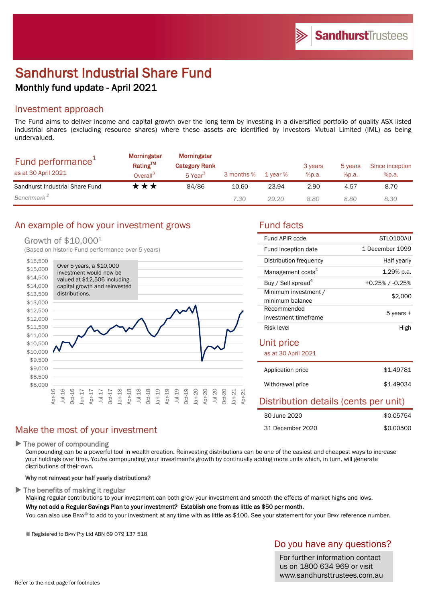# Sandhurst Industrial Share Fund Monthly fund update - April 2021

### Investment approach

The Fund aims to deliver income and capital growth over the long term by investing in a diversified portfolio of quality ASX listed industrial shares (excluding resource shares) where these assets are identified by Investors Mutual Limited (IML) as being undervalued.

| Fund performance <sup>+</sup><br>as at 30 April 2021 | <b>Morningstar</b><br><b>Rating™</b><br>Overall <sup>3</sup> | Morningstar<br><b>Category Rank</b><br>5 Year <sup>3</sup> | 3 months % | 1 vear % | 3 years<br>%p.a. | 5 years<br>%p.a. | Since inception<br>%p.a. |
|------------------------------------------------------|--------------------------------------------------------------|------------------------------------------------------------|------------|----------|------------------|------------------|--------------------------|
| Sandhurst Industrial Share Fund                      | k ★ ★                                                        | 84/86                                                      | 10.60      | 23.94    | 2.90             | 4.57             | 8.70                     |
| Benchmark <sup>2</sup>                               |                                                              |                                                            | 7.30       | 29.20    | 8.80             | 8.80             | 8.30                     |

## An example of how your investment grows Tund facts

### Growth of \$10,0001

(Based on historic Fund performance over 5 years)



## Make the most of your investment

▶ The power of compounding

Compounding can be a powerful tool in wealth creation. Reinvesting distributions can be one of the easiest and cheapest ways to increase your holdings over time. You're compounding your investment's growth by continually adding more units which, in turn, will generate distributions of their own.

### Why not reinvest your half yearly distributions?

 $\blacktriangleright$  The benefits of making it regular

Making regular contributions to your investment can both grow your investment and smooth the effects of market highs and lows. Why not add a Regular Savings Plan to your investment? Establish one from as little as \$50 per month.

You can also use BPAY® to add to your investment at any time with as little as \$100. See your statement for your BPAY reference number.

® Registered to BPAY Pty Ltd ABN 69 079 137 518

## Do you have any questions?

For further information contact us on 1800 634 969 or visit www.sandhursttrustees.com.au

| Fund APIR code                          | STLO100AU             |  |  |  |  |
|-----------------------------------------|-----------------------|--|--|--|--|
| Fund inception date                     | 1 December 1999       |  |  |  |  |
| Distribution frequency                  | Half yearly           |  |  |  |  |
| Management costs <sup>4</sup>           | 1.29% p.a.            |  |  |  |  |
| Buy / Sell spread <sup>4</sup>          | $+0.25\%$ / $-0.25\%$ |  |  |  |  |
| Minimum investment /<br>minimum balance | \$2,000               |  |  |  |  |
| Recommended<br>investment timeframe     | 5 years +             |  |  |  |  |
| Risk level                              | High                  |  |  |  |  |
| Unit price                              |                       |  |  |  |  |
| as at 30 April 2021                     |                       |  |  |  |  |
| Application price                       | \$1.49781             |  |  |  |  |
| Withdrawal price                        | \$1.49034             |  |  |  |  |
| Distribution details (cents per unit)   |                       |  |  |  |  |
| 30 June 2020                            | \$0.05754             |  |  |  |  |
| 31 December 2020                        | \$0.00500             |  |  |  |  |